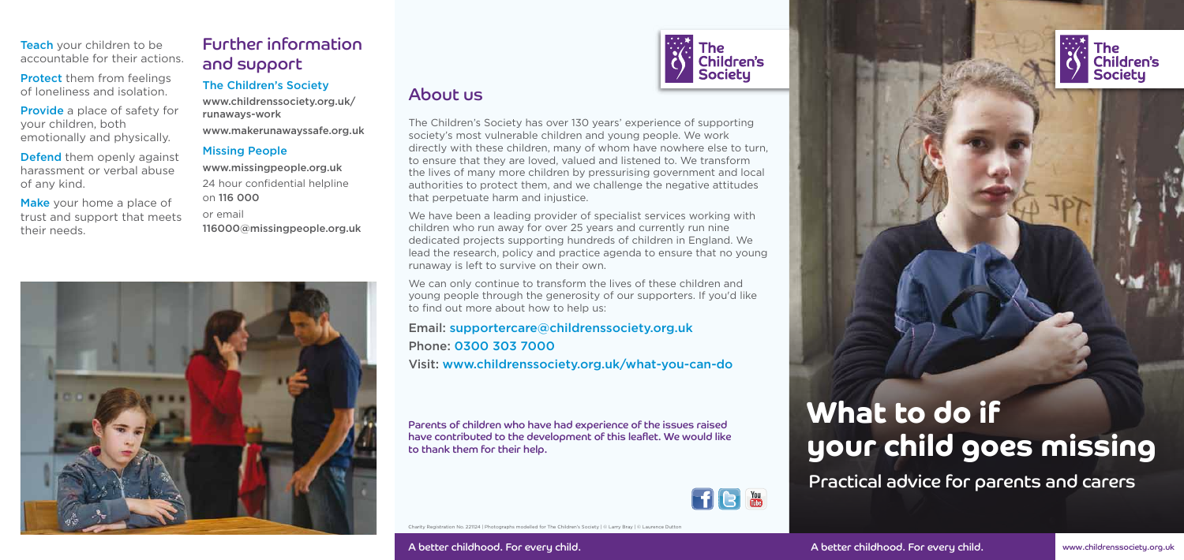

# What to do if your child goes missing

Practical advice for parents and carers

### About us

Teach your children to be accountable for their actions.

**Protect** them from feelings of loneliness and isolation.

Charity Registration No. 221124 | Photographs modelled for The Children's Society | © Larry Bray | © Laurence Dutton

Defend them openly against harassment or verbal abuse of any kind.

Make your home a place of trust and support that meets their needs.

Provide a place of safety for your children, both emotionally and physically.

## Further information and support

### The Children's Society

www.childrenssociety.org.uk/ runaways-work

www.makerunawayssafe.org.uk

### Missing People

www.missingpeople.org.uk 24 hour confidential helpline on 116 000 or email 116000@missingpeople.org.uk



## **The** Children's **Societu**

We have been a leading provider of specialist services working with children who run away for over 25 years and currently run nine dedicated projects supporting hundreds of children in England. We lead the research, policy and practice agenda to ensure that no young runaway is left to survive on their own.

Parents of children who have had experience of the issues raised have contributed to the development of this leaflet. We would like to thank them for their help.



www.childrenssociety.org.uk

The Children's Society has over 130 years' experience of supporting society's most vulnerable children and young people. We work directly with these children, many of whom have nowhere else to turn, to ensure that they are loved, valued and listened to. We transform the lives of many more children by pressurising government and local authorities to protect them, and we challenge the negative attitudes that perpetuate harm and injustice.

We can only continue to transform the lives of these children and young people through the generosity of our supporters. If you'd like to find out more about how to help us:

Email: supportercare@childrenssociety.org.uk

Phone: 0300 303 7000

Visit: www.childrenssociety.org.uk/what-you-can-do